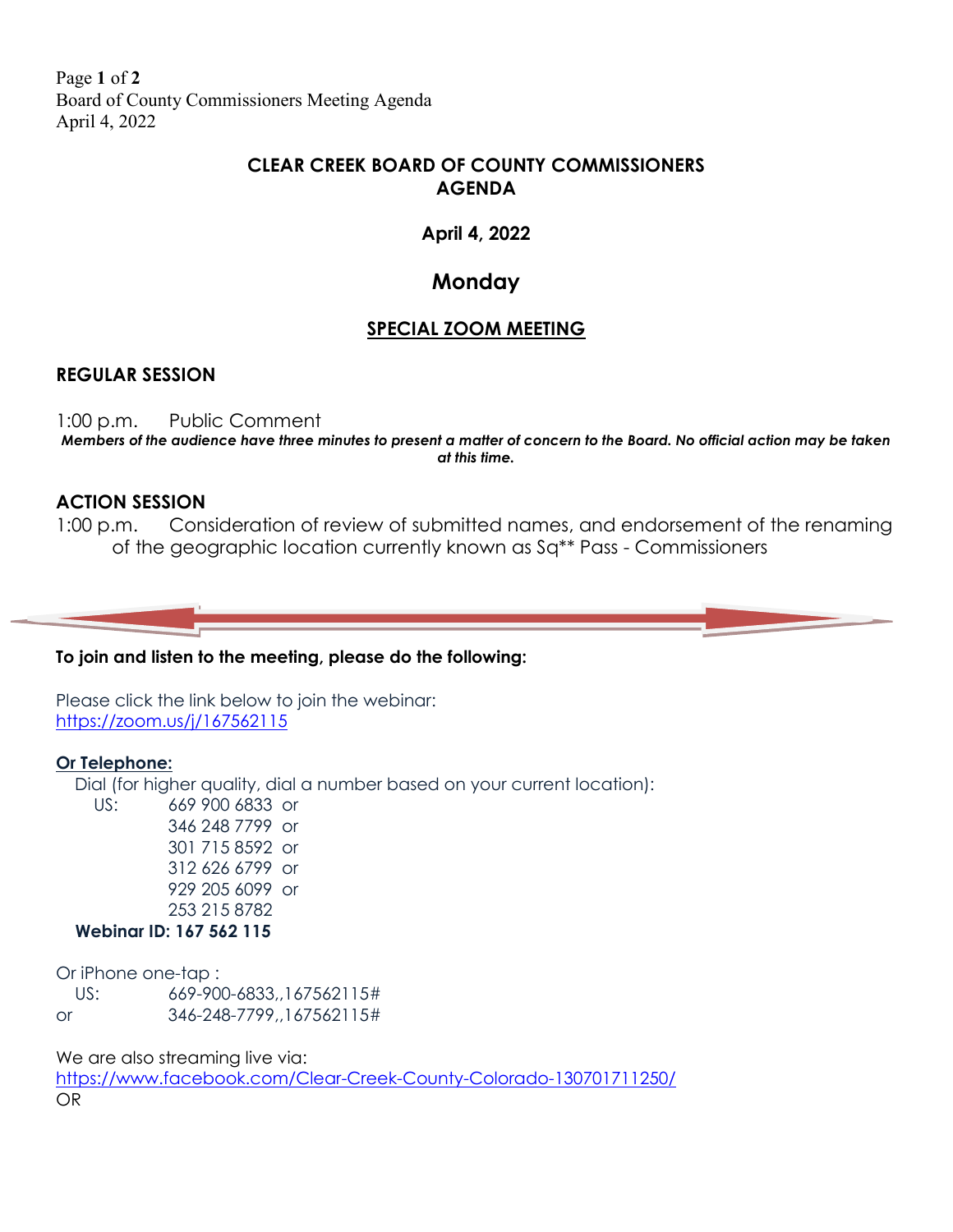Page **1** of **2** Board of County Commissioners Meeting Agenda April 4, 2022

## **CLEAR CREEK BOARD OF COUNTY COMMISSIONERS AGENDA**

## **April 4, 2022**

## **Monday**

## **SPECIAL ZOOM MEETING**

#### **REGULAR SESSION**

1:00 p.m. Public Comment *Members of the audience have three minutes to present a matter of concern to the Board. No official action may be taken at this time.*

#### **ACTION SESSION**

1:00 p.m. Consideration of review of submitted names, and endorsement of the renaming of the geographic location currently known as Sq\*\* Pass - Commissioners



Please click the link below to join the webinar: <https://zoom.us/j/167562115>

#### **Or Telephone:**

Dial (for higher quality, dial a number based on your current location):

 US: 669 900 6833 or 346 248 7799 or 301 715 8592 or 312 626 6799 or 929 205 6099 or 253 215 8782  **Webinar ID: 167 562 115**

Or iPhone one-tap :

 US: 669-900-6833,,167562115# or 346-248-7799,,167562115#

We are also streaming live via:

<https://www.facebook.com/Clear-Creek-County-Colorado-130701711250/> OR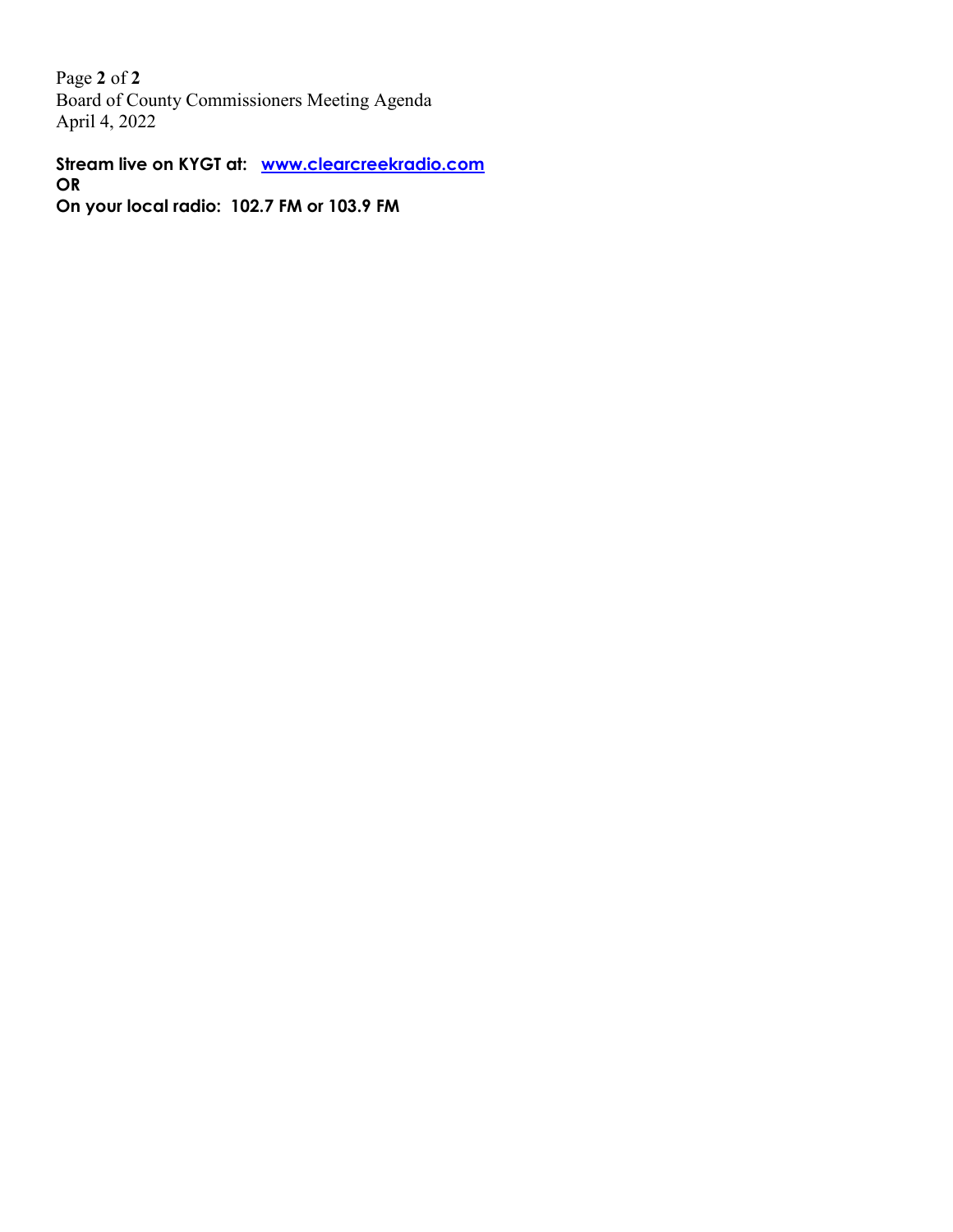Page **2** of **2** Board of County Commissioners Meeting Agenda April 4, 2022

**Stream live on KYGT at: [www.clearcreekradio.com](http://www.clearcreekradio.com/) OR On your local radio: 102.7 FM or 103.9 FM**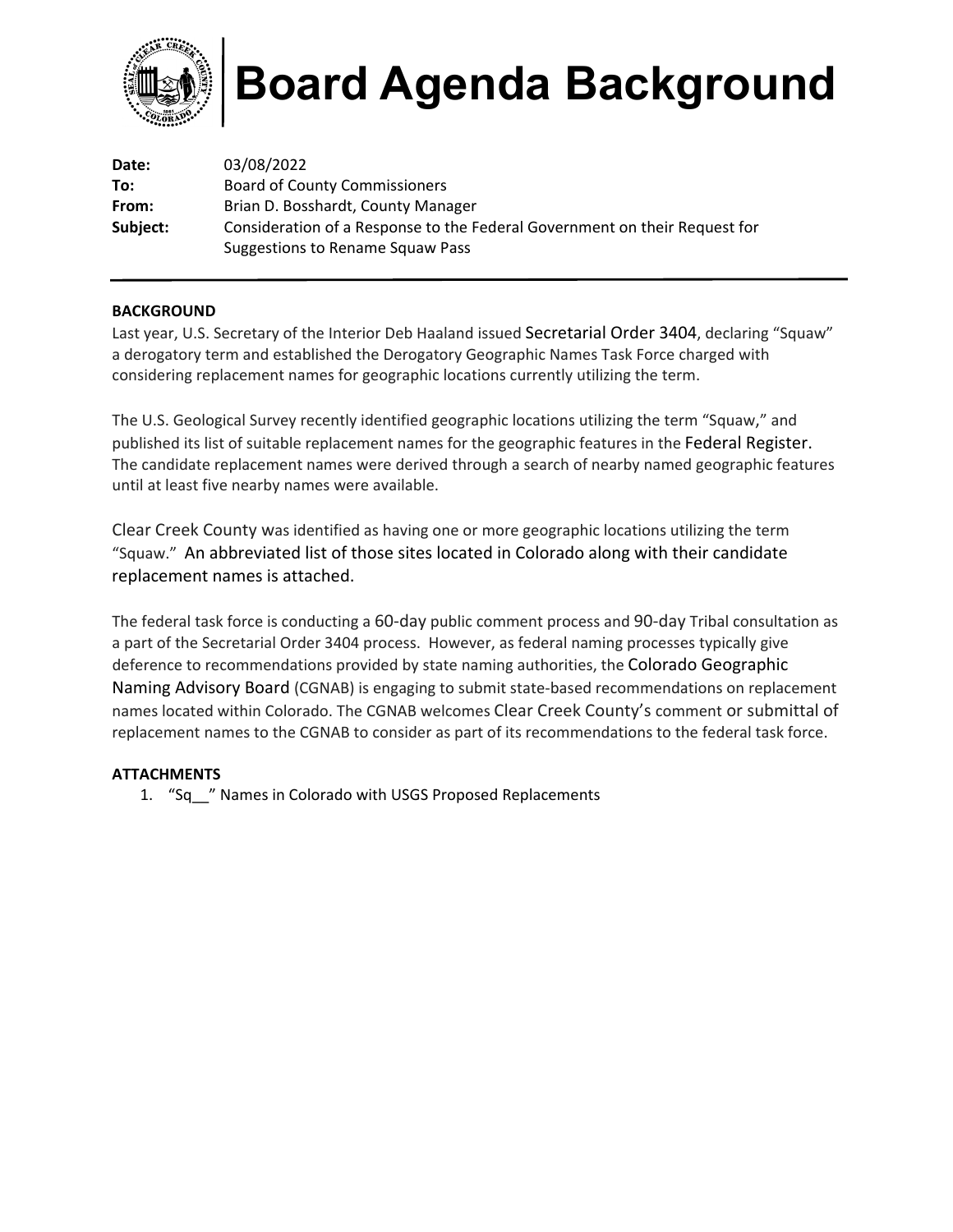

# **Board Agenda Background**

| Date:    | 03/08/2022                                                                 |
|----------|----------------------------------------------------------------------------|
| To:      | <b>Board of County Commissioners</b>                                       |
| From:    | Brian D. Bosshardt, County Manager                                         |
| Subject: | Consideration of a Response to the Federal Government on their Request for |
|          | Suggestions to Rename Squaw Pass                                           |

#### **BACKGROUND**

Last year, U.S. Secretary of the Interior Deb Haaland issued Secretarial Order 3404, declaring "Squaw" a derogatory term and established the Derogatory Geographic Names Task Force charged with considering replacement names for geographic locations currently utilizing the term.

The U.S. Geological Survey recently identified geographic locations utilizing the term "Squaw," and published its list of suitable replacement names for the geographic features in the Federal Register. The candidate replacement names were derived through a search of nearby named geographic features until at least five nearby names were available.

Clear Creek County was identified as having one or more geographic locations utilizing the term "Squaw." An abbreviated list of those sites located in Colorado along with their candidate replacement names is attached.

The federal task force is conducting a 60‐day public comment process and 90‐day Tribal consultation as a part of the Secretarial Order 3404 process. However, as federal naming processes typically give deference to recommendations provided by state naming authorities, the Colorado Geographic Naming Advisory Board (CGNAB) is engaging to submit state‐based recommendations on replacement names located within Colorado. The CGNAB welcomes Clear Creek County's comment or submittal of replacement names to the CGNAB to consider as part of its recommendations to the federal task force.

#### **ATTACHMENTS**

1. "Sq\_\_" Names in Colorado with USGS Proposed Replacements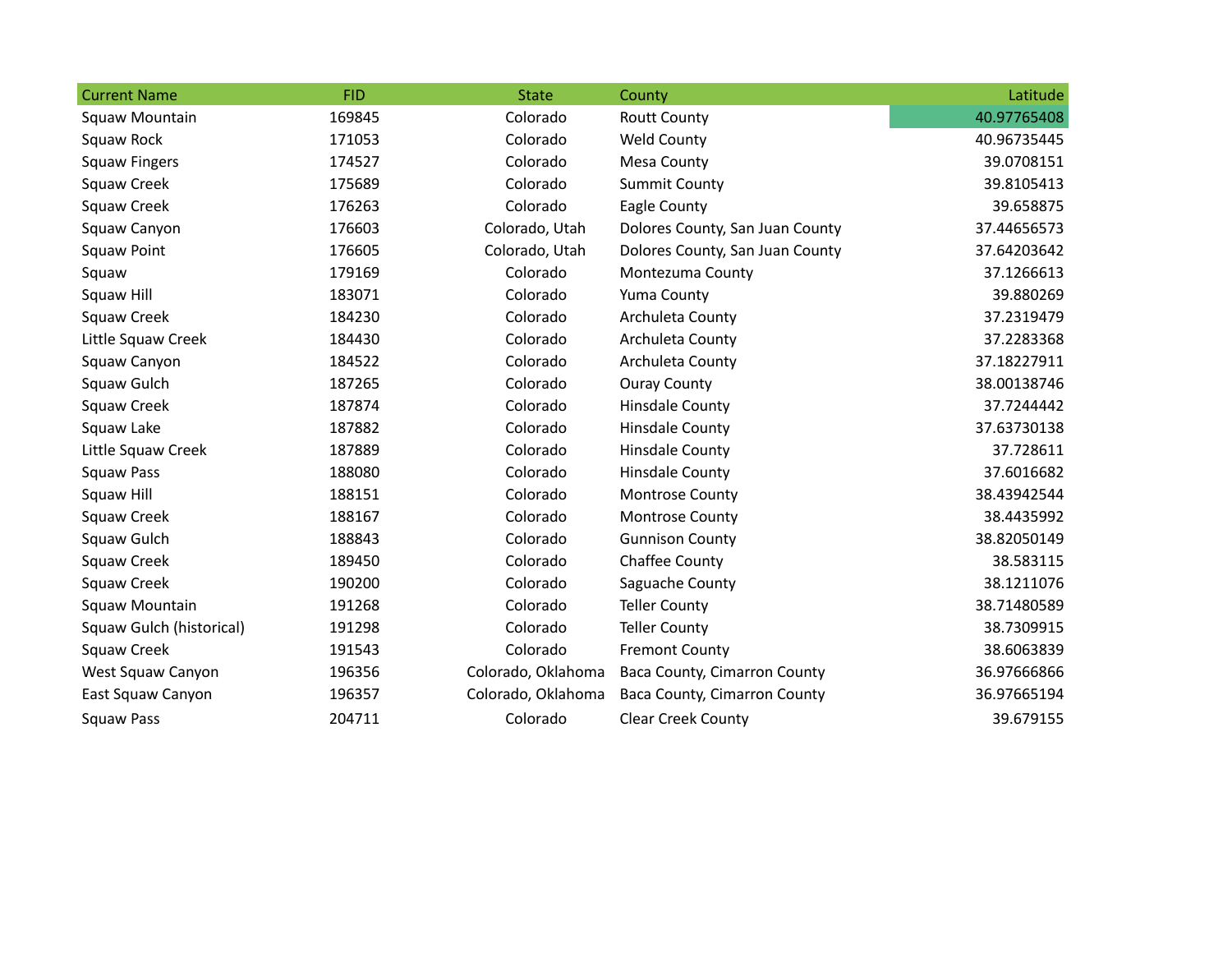| <b>Current Name</b>      | <b>FID</b> | <b>State</b>       | County                          | Latitude    |
|--------------------------|------------|--------------------|---------------------------------|-------------|
| <b>Squaw Mountain</b>    | 169845     | Colorado           | <b>Routt County</b>             | 40.97765408 |
| Squaw Rock               | 171053     | Colorado           | <b>Weld County</b>              | 40.96735445 |
| <b>Squaw Fingers</b>     | 174527     | Colorado           | Mesa County                     | 39.0708151  |
| <b>Squaw Creek</b>       | 175689     | Colorado           | <b>Summit County</b>            | 39.8105413  |
| <b>Squaw Creek</b>       | 176263     | Colorado           | Eagle County                    | 39.658875   |
| Squaw Canyon             | 176603     | Colorado, Utah     | Dolores County, San Juan County | 37.44656573 |
| <b>Squaw Point</b>       | 176605     | Colorado, Utah     | Dolores County, San Juan County | 37.64203642 |
| Squaw                    | 179169     | Colorado           | Montezuma County                | 37.1266613  |
| Squaw Hill               | 183071     | Colorado           | Yuma County                     | 39.880269   |
| <b>Squaw Creek</b>       | 184230     | Colorado           | Archuleta County                | 37.2319479  |
| Little Squaw Creek       | 184430     | Colorado           | Archuleta County                | 37.2283368  |
| Squaw Canyon             | 184522     | Colorado           | Archuleta County                | 37.18227911 |
| Squaw Gulch              | 187265     | Colorado           | <b>Ouray County</b>             | 38.00138746 |
| Squaw Creek              | 187874     | Colorado           | Hinsdale County                 | 37.7244442  |
| Squaw Lake               | 187882     | Colorado           | <b>Hinsdale County</b>          | 37.63730138 |
| Little Squaw Creek       | 187889     | Colorado           | <b>Hinsdale County</b>          | 37.728611   |
| <b>Squaw Pass</b>        | 188080     | Colorado           | <b>Hinsdale County</b>          | 37.6016682  |
| Squaw Hill               | 188151     | Colorado           | Montrose County                 | 38.43942544 |
| <b>Squaw Creek</b>       | 188167     | Colorado           | Montrose County                 | 38.4435992  |
| Squaw Gulch              | 188843     | Colorado           | <b>Gunnison County</b>          | 38.82050149 |
| <b>Squaw Creek</b>       | 189450     | Colorado           | Chaffee County                  | 38.583115   |
| <b>Squaw Creek</b>       | 190200     | Colorado           | Saguache County                 | 38.1211076  |
| Squaw Mountain           | 191268     | Colorado           | <b>Teller County</b>            | 38.71480589 |
| Squaw Gulch (historical) | 191298     | Colorado           | <b>Teller County</b>            | 38.7309915  |
| Squaw Creek              | 191543     | Colorado           | <b>Fremont County</b>           | 38.6063839  |
| West Squaw Canyon        | 196356     | Colorado, Oklahoma | Baca County, Cimarron County    | 36.97666866 |
| East Squaw Canyon        | 196357     | Colorado, Oklahoma | Baca County, Cimarron County    | 36.97665194 |
| <b>Squaw Pass</b>        | 204711     | Colorado           | <b>Clear Creek County</b>       | 39.679155   |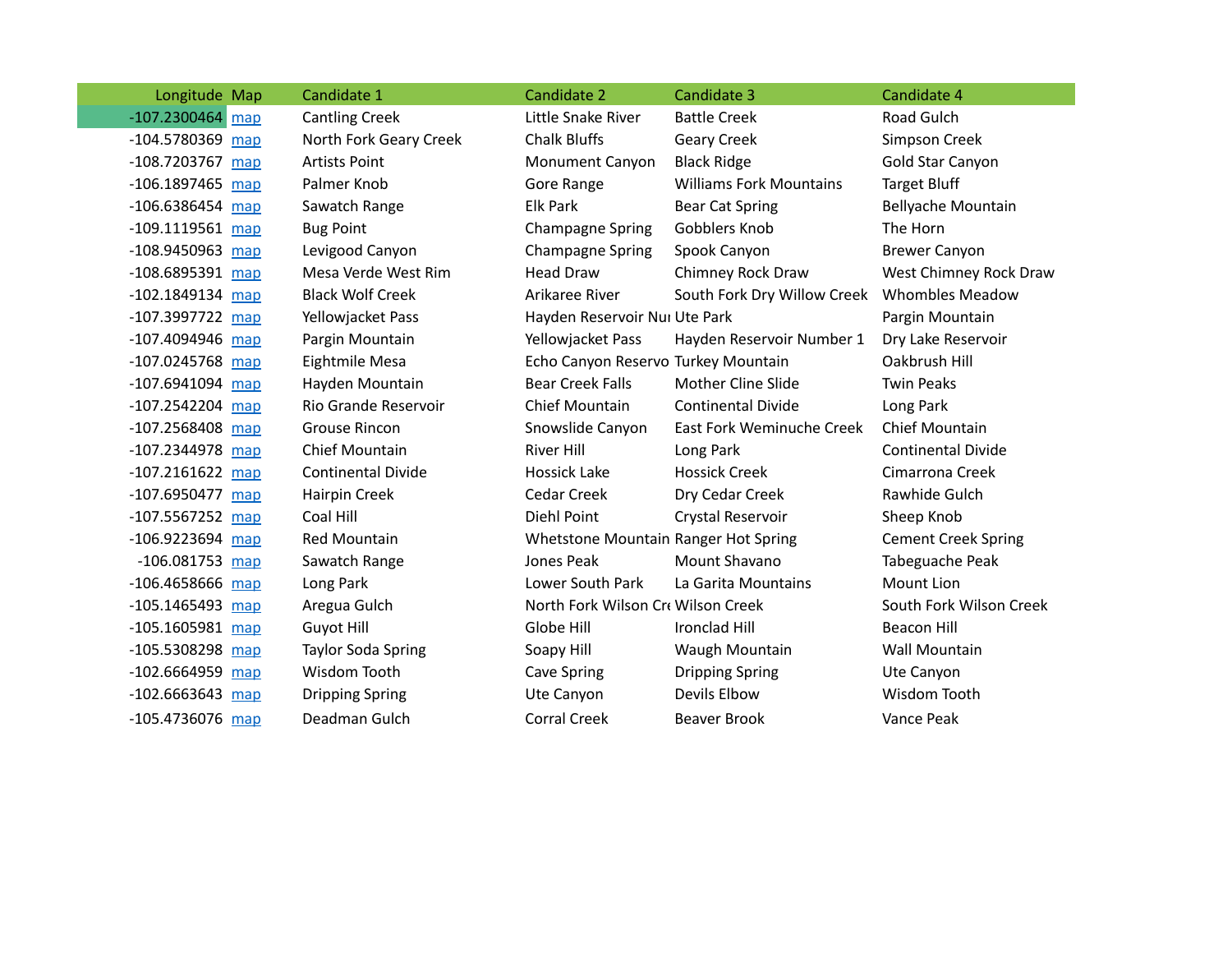| Longitude Map      | Candidate 1               | Candidate 2                          | Candidate 3                    | Candidate 4                |
|--------------------|---------------------------|--------------------------------------|--------------------------------|----------------------------|
| $-107.2300464$ map | <b>Cantling Creek</b>     | Little Snake River                   | <b>Battle Creek</b>            | Road Gulch                 |
| -104.5780369 map   | North Fork Geary Creek    | <b>Chalk Bluffs</b>                  | Geary Creek                    | Simpson Creek              |
| -108.7203767 map   | <b>Artists Point</b>      | Monument Canyon                      | <b>Black Ridge</b>             | Gold Star Canyon           |
| $-106.1897465$ map | Palmer Knob               | Gore Range                           | <b>Williams Fork Mountains</b> | Target Bluff               |
| $-106.6386454$ map | Sawatch Range             | Elk Park                             | <b>Bear Cat Spring</b>         | Bellyache Mountain         |
| $-109.1119561$ map | <b>Bug Point</b>          | <b>Champagne Spring</b>              | Gobblers Knob                  | The Horn                   |
| -108.9450963 map   | Levigood Canyon           | <b>Champagne Spring</b>              | Spook Canyon                   | <b>Brewer Canyon</b>       |
| $-108.6895391$ map | Mesa Verde West Rim       | <b>Head Draw</b>                     | Chimney Rock Draw              | West Chimney Rock Draw     |
| $-102.1849134$ map | <b>Black Wolf Creek</b>   | Arikaree River                       | South Fork Dry Willow Creek    | <b>Whombles Meadow</b>     |
| -107.3997722 map   | Yellowjacket Pass         | Hayden Reservoir Nui Ute Park        |                                | Pargin Mountain            |
| -107.4094946 map   | Pargin Mountain           | Yellowjacket Pass                    | Hayden Reservoir Number 1      | Dry Lake Reservoir         |
| -107.0245768 map   | Eightmile Mesa            | Echo Canyon Reservo Turkey Mountain  |                                | Oakbrush Hill              |
| $-107.6941094$ map | Hayden Mountain           | <b>Bear Creek Falls</b>              | <b>Mother Cline Slide</b>      | <b>Twin Peaks</b>          |
| -107.2542204 map   | Rio Grande Reservoir      | Chief Mountain                       | <b>Continental Divide</b>      | Long Park                  |
| -107.2568408 map   | Grouse Rincon             | Snowslide Canyon                     | East Fork Weminuche Creek      | Chief Mountain             |
| -107.2344978 map   | <b>Chief Mountain</b>     | <b>River Hill</b>                    | Long Park                      | <b>Continental Divide</b>  |
| -107.2161622 map   | <b>Continental Divide</b> | <b>Hossick Lake</b>                  | <b>Hossick Creek</b>           | Cimarrona Creek            |
| -107.6950477 map   | <b>Hairpin Creek</b>      | Cedar Creek                          | Dry Cedar Creek                | Rawhide Gulch              |
| $-107.5567252$ map | Coal Hill                 | Diehl Point                          | Crystal Reservoir              | Sheep Knob                 |
| $-106.9223694$ map | Red Mountain              | Whetstone Mountain Ranger Hot Spring |                                | <b>Cement Creek Spring</b> |
| -106.081753 map    | Sawatch Range             | Jones Peak                           | Mount Shavano                  | Tabeguache Peak            |
| $-106.4658666$ map | Long Park                 | Lower South Park                     | La Garita Mountains            | Mount Lion                 |
| -105.1465493 map   | Aregua Gulch              | North Fork Wilson Cre Wilson Creek   |                                | South Fork Wilson Creek    |
| $-105.1605981$ map | Guyot Hill                | Globe Hill                           | <b>Ironclad Hill</b>           | <b>Beacon Hill</b>         |
| -105.5308298 map   | <b>Taylor Soda Spring</b> | Soapy Hill                           | Waugh Mountain                 | Wall Mountain              |
| -102.6664959 map   | Wisdom Tooth              | Cave Spring                          | <b>Dripping Spring</b>         | Ute Canyon                 |
| -102.6663643 map   | <b>Dripping Spring</b>    | Ute Canyon                           | Devils Elbow                   | Wisdom Tooth               |
| -105.4736076 map   | Deadman Gulch             | <b>Corral Creek</b>                  | <b>Beaver Brook</b>            | Vance Peak                 |